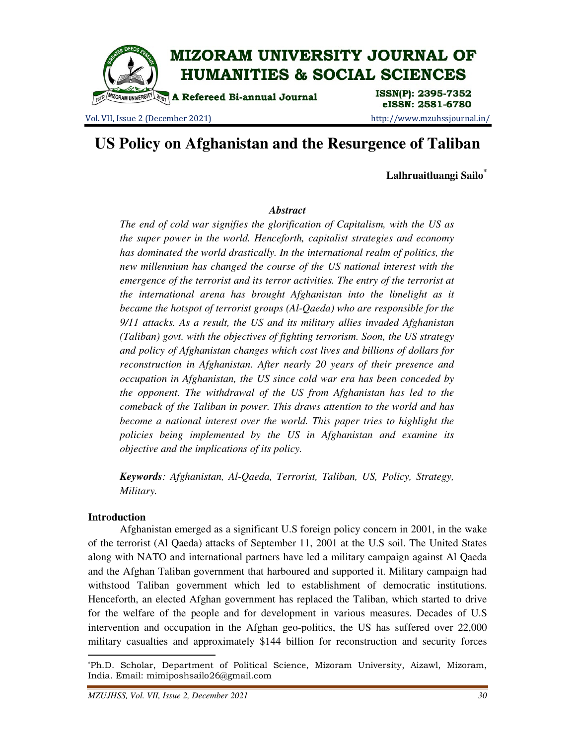

Vol. VII, Issue 2 (December 2021) http://www.mzuhssjournal.in/

eISSN: 2581-6780

# **US Policy on Afghanistan and the Resurgence of Taliban**

**Lalhruaitluangi Sailo\***

#### *Abstract*

*The end of cold war signifies the glorification of Capitalism, with the US as the super power in the world. Henceforth, capitalist strategies and economy has dominated the world drastically. In the international realm of politics, the new millennium has changed the course of the US national interest with the emergence of the terrorist and its terror activities. The entry of the terrorist at the international arena has brought Afghanistan into the limelight as it became the hotspot of terrorist groups (Al-Qaeda) who are responsible for the 9/11 attacks. As a result, the US and its military allies invaded Afghanistan (Taliban) govt. with the objectives of fighting terrorism. Soon, the US strategy and policy of Afghanistan changes which cost lives and billions of dollars for reconstruction in Afghanistan. After nearly 20 years of their presence and occupation in Afghanistan, the US since cold war era has been conceded by the opponent. The withdrawal of the US from Afghanistan has led to the comeback of the Taliban in power. This draws attention to the world and has become a national interest over the world. This paper tries to highlight the policies being implemented by the US in Afghanistan and examine its objective and the implications of its policy.* 

*Keywords: Afghanistan, Al-Qaeda, Terrorist, Taliban, US, Policy, Strategy, Military.* 

#### **Introduction**

 $\overline{a}$ 

 Afghanistan emerged as a significant U.S foreign policy concern in 2001, in the wake of the terrorist (Al Qaeda) attacks of September 11, 2001 at the U.S soil. The United States along with NATO and international partners have led a military campaign against Al Qaeda and the Afghan Taliban government that harboured and supported it. Military campaign had withstood Taliban government which led to establishment of democratic institutions. Henceforth, an elected Afghan government has replaced the Taliban, which started to drive for the welfare of the people and for development in various measures. Decades of U.S intervention and occupation in the Afghan geo-politics, the US has suffered over 22,000 military casualties and approximately \$144 billion for reconstruction and security forces

<sup>\*</sup>Ph.D. Scholar, Department of Political Science, Mizoram University, Aizawl, Mizoram, India. Email: mimiposhsailo26@gmail.com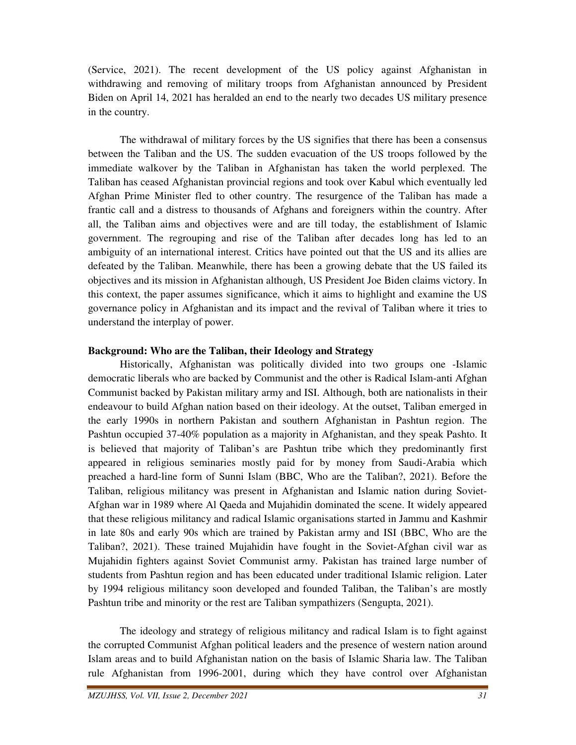(Service, 2021). The recent development of the US policy against Afghanistan in withdrawing and removing of military troops from Afghanistan announced by President Biden on April 14, 2021 has heralded an end to the nearly two decades US military presence in the country.

 The withdrawal of military forces by the US signifies that there has been a consensus between the Taliban and the US. The sudden evacuation of the US troops followed by the immediate walkover by the Taliban in Afghanistan has taken the world perplexed. The Taliban has ceased Afghanistan provincial regions and took over Kabul which eventually led Afghan Prime Minister fled to other country. The resurgence of the Taliban has made a frantic call and a distress to thousands of Afghans and foreigners within the country. After all, the Taliban aims and objectives were and are till today, the establishment of Islamic government. The regrouping and rise of the Taliban after decades long has led to an ambiguity of an international interest. Critics have pointed out that the US and its allies are defeated by the Taliban. Meanwhile, there has been a growing debate that the US failed its objectives and its mission in Afghanistan although, US President Joe Biden claims victory. In this context, the paper assumes significance, which it aims to highlight and examine the US governance policy in Afghanistan and its impact and the revival of Taliban where it tries to understand the interplay of power.

#### **Background: Who are the Taliban, their Ideology and Strategy**

 Historically, Afghanistan was politically divided into two groups one -Islamic democratic liberals who are backed by Communist and the other is Radical Islam-anti Afghan Communist backed by Pakistan military army and ISI. Although, both are nationalists in their endeavour to build Afghan nation based on their ideology. At the outset, Taliban emerged in the early 1990s in northern Pakistan and southern Afghanistan in Pashtun region. The Pashtun occupied 37-40% population as a majority in Afghanistan, and they speak Pashto. It is believed that majority of Taliban's are Pashtun tribe which they predominantly first appeared in religious seminaries mostly paid for by money from Saudi-Arabia which preached a hard-line form of Sunni Islam (BBC, Who are the Taliban?, 2021). Before the Taliban, religious militancy was present in Afghanistan and Islamic nation during Soviet-Afghan war in 1989 where Al Qaeda and Mujahidin dominated the scene. It widely appeared that these religious militancy and radical Islamic organisations started in Jammu and Kashmir in late 80s and early 90s which are trained by Pakistan army and ISI (BBC, Who are the Taliban?, 2021). These trained Mujahidin have fought in the Soviet-Afghan civil war as Mujahidin fighters against Soviet Communist army. Pakistan has trained large number of students from Pashtun region and has been educated under traditional Islamic religion. Later by 1994 religious militancy soon developed and founded Taliban, the Taliban's are mostly Pashtun tribe and minority or the rest are Taliban sympathizers (Sengupta, 2021).

 The ideology and strategy of religious militancy and radical Islam is to fight against the corrupted Communist Afghan political leaders and the presence of western nation around Islam areas and to build Afghanistan nation on the basis of Islamic Sharia law. The Taliban rule Afghanistan from 1996-2001, during which they have control over Afghanistan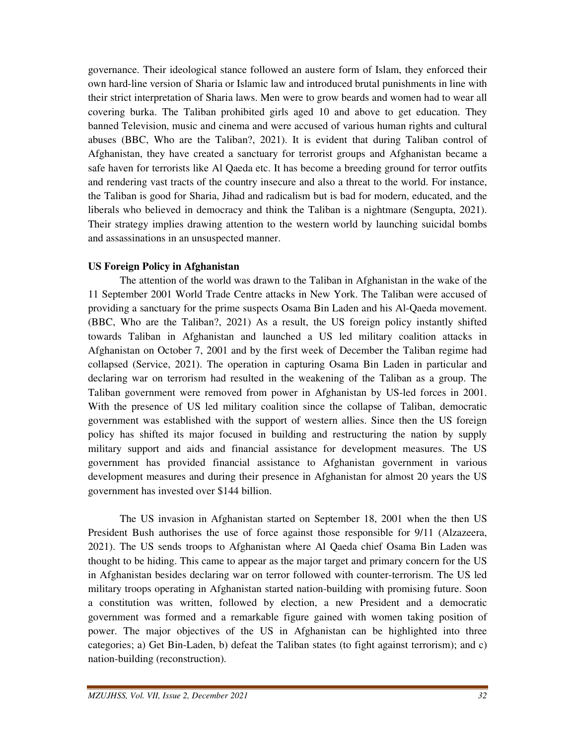governance. Their ideological stance followed an austere form of Islam, they enforced their own hard-line version of Sharia or Islamic law and introduced brutal punishments in line with their strict interpretation of Sharia laws. Men were to grow beards and women had to wear all covering burka. The Taliban prohibited girls aged 10 and above to get education. They banned Television, music and cinema and were accused of various human rights and cultural abuses (BBC, Who are the Taliban?, 2021). It is evident that during Taliban control of Afghanistan, they have created a sanctuary for terrorist groups and Afghanistan became a safe haven for terrorists like Al Qaeda etc. It has become a breeding ground for terror outfits and rendering vast tracts of the country insecure and also a threat to the world. For instance, the Taliban is good for Sharia, Jihad and radicalism but is bad for modern, educated, and the liberals who believed in democracy and think the Taliban is a nightmare (Sengupta, 2021). Their strategy implies drawing attention to the western world by launching suicidal bombs and assassinations in an unsuspected manner.

#### **US Foreign Policy in Afghanistan**

 The attention of the world was drawn to the Taliban in Afghanistan in the wake of the 11 September 2001 World Trade Centre attacks in New York. The Taliban were accused of providing a sanctuary for the prime suspects Osama Bin Laden and his Al-Qaeda movement. (BBC, Who are the Taliban?, 2021) As a result, the US foreign policy instantly shifted towards Taliban in Afghanistan and launched a US led military coalition attacks in Afghanistan on October 7, 2001 and by the first week of December the Taliban regime had collapsed (Service, 2021). The operation in capturing Osama Bin Laden in particular and declaring war on terrorism had resulted in the weakening of the Taliban as a group. The Taliban government were removed from power in Afghanistan by US-led forces in 2001. With the presence of US led military coalition since the collapse of Taliban, democratic government was established with the support of western allies. Since then the US foreign policy has shifted its major focused in building and restructuring the nation by supply military support and aids and financial assistance for development measures. The US government has provided financial assistance to Afghanistan government in various development measures and during their presence in Afghanistan for almost 20 years the US government has invested over \$144 billion.

 The US invasion in Afghanistan started on September 18, 2001 when the then US President Bush authorises the use of force against those responsible for 9/11 (Alzazeera, 2021). The US sends troops to Afghanistan where Al Qaeda chief Osama Bin Laden was thought to be hiding. This came to appear as the major target and primary concern for the US in Afghanistan besides declaring war on terror followed with counter-terrorism. The US led military troops operating in Afghanistan started nation-building with promising future. Soon a constitution was written, followed by election, a new President and a democratic government was formed and a remarkable figure gained with women taking position of power. The major objectives of the US in Afghanistan can be highlighted into three categories; a) Get Bin-Laden, b) defeat the Taliban states (to fight against terrorism); and c) nation-building (reconstruction).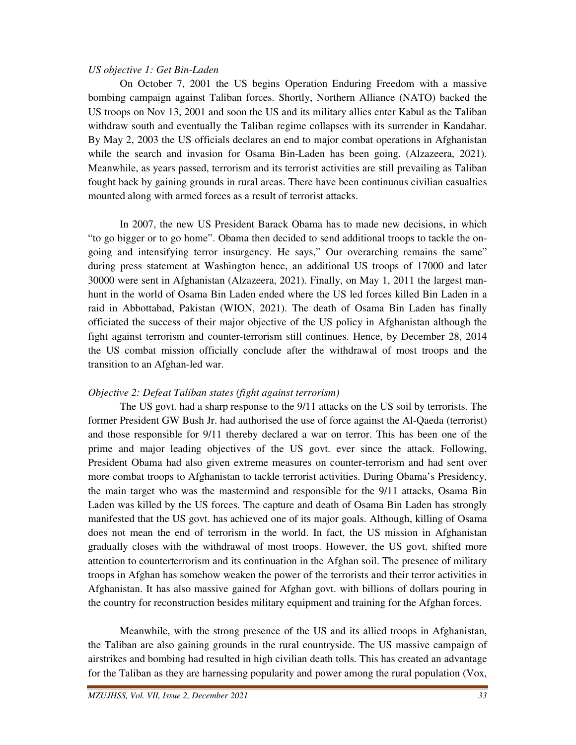## *US objective 1: Get Bin-Laden*

 On October 7, 2001 the US begins Operation Enduring Freedom with a massive bombing campaign against Taliban forces. Shortly, Northern Alliance (NATO) backed the US troops on Nov 13, 2001 and soon the US and its military allies enter Kabul as the Taliban withdraw south and eventually the Taliban regime collapses with its surrender in Kandahar. By May 2, 2003 the US officials declares an end to major combat operations in Afghanistan while the search and invasion for Osama Bin-Laden has been going. (Alzazeera, 2021). Meanwhile, as years passed, terrorism and its terrorist activities are still prevailing as Taliban fought back by gaining grounds in rural areas. There have been continuous civilian casualties mounted along with armed forces as a result of terrorist attacks.

 In 2007, the new US President Barack Obama has to made new decisions, in which "to go bigger or to go home". Obama then decided to send additional troops to tackle the ongoing and intensifying terror insurgency. He says," Our overarching remains the same" during press statement at Washington hence, an additional US troops of 17000 and later 30000 were sent in Afghanistan (Alzazeera, 2021). Finally, on May 1, 2011 the largest manhunt in the world of Osama Bin Laden ended where the US led forces killed Bin Laden in a raid in Abbottabad, Pakistan (WION, 2021). The death of Osama Bin Laden has finally officiated the success of their major objective of the US policy in Afghanistan although the fight against terrorism and counter-terrorism still continues. Hence, by December 28, 2014 the US combat mission officially conclude after the withdrawal of most troops and the transition to an Afghan-led war.

## *Objective 2: Defeat Taliban states (fight against terrorism)*

 The US govt. had a sharp response to the 9/11 attacks on the US soil by terrorists. The former President GW Bush Jr. had authorised the use of force against the Al-Qaeda (terrorist) and those responsible for 9/11 thereby declared a war on terror. This has been one of the prime and major leading objectives of the US govt. ever since the attack. Following, President Obama had also given extreme measures on counter-terrorism and had sent over more combat troops to Afghanistan to tackle terrorist activities. During Obama's Presidency, the main target who was the mastermind and responsible for the 9/11 attacks, Osama Bin Laden was killed by the US forces. The capture and death of Osama Bin Laden has strongly manifested that the US govt. has achieved one of its major goals. Although, killing of Osama does not mean the end of terrorism in the world. In fact, the US mission in Afghanistan gradually closes with the withdrawal of most troops. However, the US govt. shifted more attention to counterterrorism and its continuation in the Afghan soil. The presence of military troops in Afghan has somehow weaken the power of the terrorists and their terror activities in Afghanistan. It has also massive gained for Afghan govt. with billions of dollars pouring in the country for reconstruction besides military equipment and training for the Afghan forces.

 Meanwhile, with the strong presence of the US and its allied troops in Afghanistan, the Taliban are also gaining grounds in the rural countryside. The US massive campaign of airstrikes and bombing had resulted in high civilian death tolls. This has created an advantage for the Taliban as they are harnessing popularity and power among the rural population (Vox,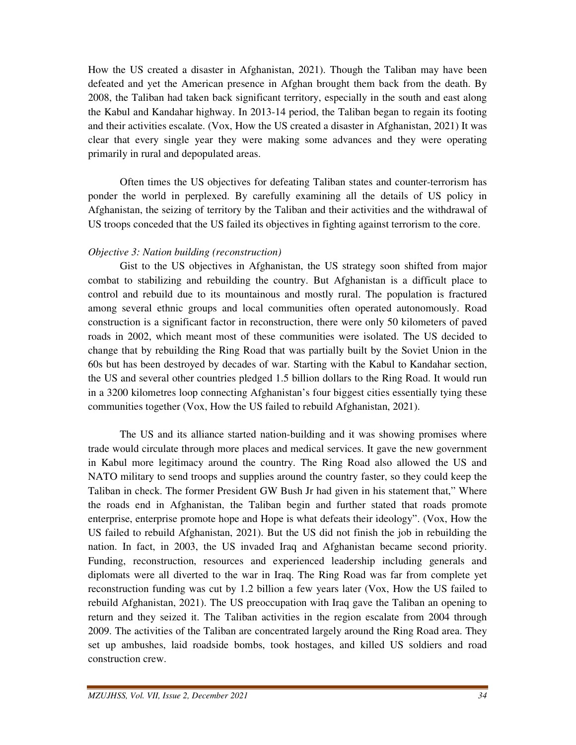How the US created a disaster in Afghanistan, 2021). Though the Taliban may have been defeated and yet the American presence in Afghan brought them back from the death. By 2008, the Taliban had taken back significant territory, especially in the south and east along the Kabul and Kandahar highway. In 2013-14 period, the Taliban began to regain its footing and their activities escalate. (Vox, How the US created a disaster in Afghanistan, 2021) It was clear that every single year they were making some advances and they were operating primarily in rural and depopulated areas.

 Often times the US objectives for defeating Taliban states and counter-terrorism has ponder the world in perplexed. By carefully examining all the details of US policy in Afghanistan, the seizing of territory by the Taliban and their activities and the withdrawal of US troops conceded that the US failed its objectives in fighting against terrorism to the core.

#### *Objective 3: Nation building (reconstruction)*

 Gist to the US objectives in Afghanistan, the US strategy soon shifted from major combat to stabilizing and rebuilding the country. But Afghanistan is a difficult place to control and rebuild due to its mountainous and mostly rural. The population is fractured among several ethnic groups and local communities often operated autonomously. Road construction is a significant factor in reconstruction, there were only 50 kilometers of paved roads in 2002, which meant most of these communities were isolated. The US decided to change that by rebuilding the Ring Road that was partially built by the Soviet Union in the 60s but has been destroyed by decades of war. Starting with the Kabul to Kandahar section, the US and several other countries pledged 1.5 billion dollars to the Ring Road. It would run in a 3200 kilometres loop connecting Afghanistan's four biggest cities essentially tying these communities together (Vox, How the US failed to rebuild Afghanistan, 2021).

 The US and its alliance started nation-building and it was showing promises where trade would circulate through more places and medical services. It gave the new government in Kabul more legitimacy around the country. The Ring Road also allowed the US and NATO military to send troops and supplies around the country faster, so they could keep the Taliban in check. The former President GW Bush Jr had given in his statement that," Where the roads end in Afghanistan, the Taliban begin and further stated that roads promote enterprise, enterprise promote hope and Hope is what defeats their ideology". (Vox, How the US failed to rebuild Afghanistan, 2021). But the US did not finish the job in rebuilding the nation. In fact, in 2003, the US invaded Iraq and Afghanistan became second priority. Funding, reconstruction, resources and experienced leadership including generals and diplomats were all diverted to the war in Iraq. The Ring Road was far from complete yet reconstruction funding was cut by 1.2 billion a few years later (Vox, How the US failed to rebuild Afghanistan, 2021). The US preoccupation with Iraq gave the Taliban an opening to return and they seized it. The Taliban activities in the region escalate from 2004 through 2009. The activities of the Taliban are concentrated largely around the Ring Road area. They set up ambushes, laid roadside bombs, took hostages, and killed US soldiers and road construction crew.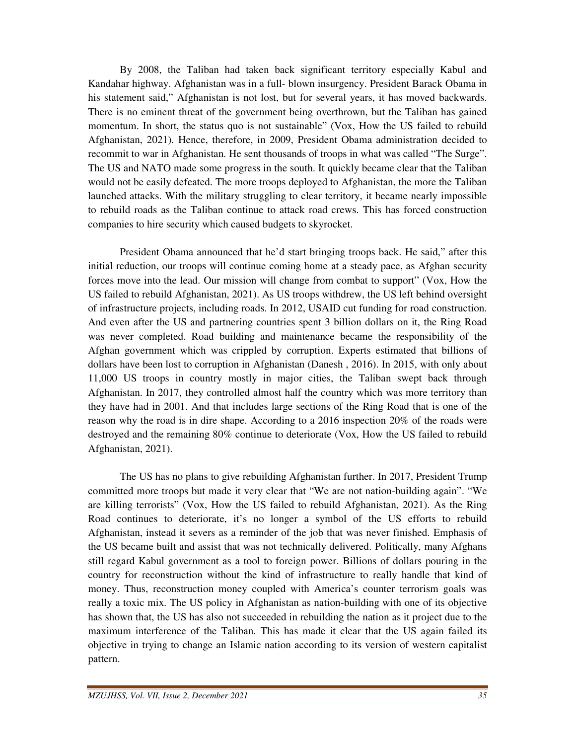By 2008, the Taliban had taken back significant territory especially Kabul and Kandahar highway. Afghanistan was in a full- blown insurgency. President Barack Obama in his statement said," Afghanistan is not lost, but for several years, it has moved backwards. There is no eminent threat of the government being overthrown, but the Taliban has gained momentum. In short, the status quo is not sustainable" (Vox, How the US failed to rebuild Afghanistan, 2021). Hence, therefore, in 2009, President Obama administration decided to recommit to war in Afghanistan. He sent thousands of troops in what was called "The Surge". The US and NATO made some progress in the south. It quickly became clear that the Taliban would not be easily defeated. The more troops deployed to Afghanistan, the more the Taliban launched attacks. With the military struggling to clear territory, it became nearly impossible to rebuild roads as the Taliban continue to attack road crews. This has forced construction companies to hire security which caused budgets to skyrocket.

 President Obama announced that he'd start bringing troops back. He said," after this initial reduction, our troops will continue coming home at a steady pace, as Afghan security forces move into the lead. Our mission will change from combat to support" (Vox, How the US failed to rebuild Afghanistan, 2021). As US troops withdrew, the US left behind oversight of infrastructure projects, including roads. In 2012, USAID cut funding for road construction. And even after the US and partnering countries spent 3 billion dollars on it, the Ring Road was never completed. Road building and maintenance became the responsibility of the Afghan government which was crippled by corruption. Experts estimated that billions of dollars have been lost to corruption in Afghanistan (Danesh , 2016). In 2015, with only about 11,000 US troops in country mostly in major cities, the Taliban swept back through Afghanistan. In 2017, they controlled almost half the country which was more territory than they have had in 2001. And that includes large sections of the Ring Road that is one of the reason why the road is in dire shape. According to a 2016 inspection 20% of the roads were destroyed and the remaining 80% continue to deteriorate (Vox, How the US failed to rebuild Afghanistan, 2021).

 The US has no plans to give rebuilding Afghanistan further. In 2017, President Trump committed more troops but made it very clear that "We are not nation-building again". "We are killing terrorists" (Vox, How the US failed to rebuild Afghanistan, 2021). As the Ring Road continues to deteriorate, it's no longer a symbol of the US efforts to rebuild Afghanistan, instead it severs as a reminder of the job that was never finished. Emphasis of the US became built and assist that was not technically delivered. Politically, many Afghans still regard Kabul government as a tool to foreign power. Billions of dollars pouring in the country for reconstruction without the kind of infrastructure to really handle that kind of money. Thus, reconstruction money coupled with America's counter terrorism goals was really a toxic mix. The US policy in Afghanistan as nation-building with one of its objective has shown that, the US has also not succeeded in rebuilding the nation as it project due to the maximum interference of the Taliban. This has made it clear that the US again failed its objective in trying to change an Islamic nation according to its version of western capitalist pattern.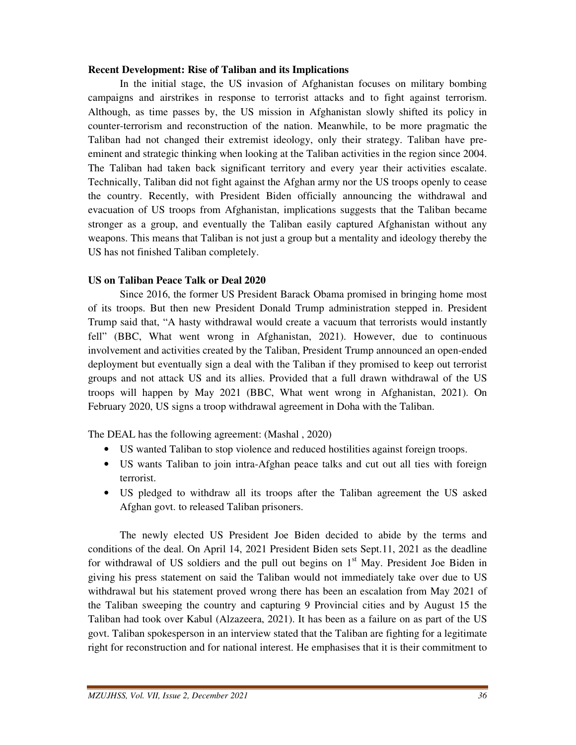#### **Recent Development: Rise of Taliban and its Implications**

 In the initial stage, the US invasion of Afghanistan focuses on military bombing campaigns and airstrikes in response to terrorist attacks and to fight against terrorism. Although, as time passes by, the US mission in Afghanistan slowly shifted its policy in counter-terrorism and reconstruction of the nation. Meanwhile, to be more pragmatic the Taliban had not changed their extremist ideology, only their strategy. Taliban have preeminent and strategic thinking when looking at the Taliban activities in the region since 2004. The Taliban had taken back significant territory and every year their activities escalate. Technically, Taliban did not fight against the Afghan army nor the US troops openly to cease the country. Recently, with President Biden officially announcing the withdrawal and evacuation of US troops from Afghanistan, implications suggests that the Taliban became stronger as a group, and eventually the Taliban easily captured Afghanistan without any weapons. This means that Taliban is not just a group but a mentality and ideology thereby the US has not finished Taliban completely.

#### **US on Taliban Peace Talk or Deal 2020**

 Since 2016, the former US President Barack Obama promised in bringing home most of its troops. But then new President Donald Trump administration stepped in. President Trump said that, "A hasty withdrawal would create a vacuum that terrorists would instantly fell" (BBC, What went wrong in Afghanistan, 2021). However, due to continuous involvement and activities created by the Taliban, President Trump announced an open-ended deployment but eventually sign a deal with the Taliban if they promised to keep out terrorist groups and not attack US and its allies. Provided that a full drawn withdrawal of the US troops will happen by May 2021 (BBC, What went wrong in Afghanistan, 2021). On February 2020, US signs a troop withdrawal agreement in Doha with the Taliban.

The DEAL has the following agreement: (Mashal , 2020)

- US wanted Taliban to stop violence and reduced hostilities against foreign troops.
- US wants Taliban to join intra-Afghan peace talks and cut out all ties with foreign terrorist.
- US pledged to withdraw all its troops after the Taliban agreement the US asked Afghan govt. to released Taliban prisoners.

 The newly elected US President Joe Biden decided to abide by the terms and conditions of the deal. On April 14, 2021 President Biden sets Sept.11, 2021 as the deadline for withdrawal of US soldiers and the pull out begins on  $1<sup>st</sup>$  May. President Joe Biden in giving his press statement on said the Taliban would not immediately take over due to US withdrawal but his statement proved wrong there has been an escalation from May 2021 of the Taliban sweeping the country and capturing 9 Provincial cities and by August 15 the Taliban had took over Kabul (Alzazeera, 2021). It has been as a failure on as part of the US govt. Taliban spokesperson in an interview stated that the Taliban are fighting for a legitimate right for reconstruction and for national interest. He emphasises that it is their commitment to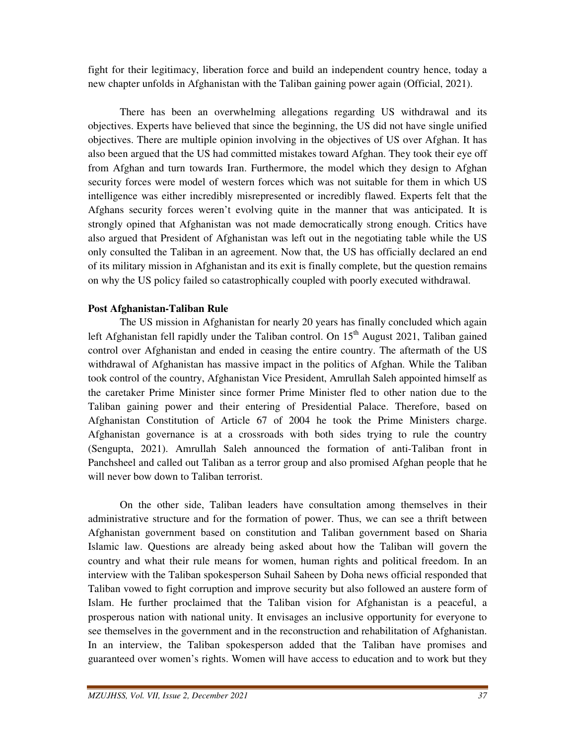fight for their legitimacy, liberation force and build an independent country hence, today a new chapter unfolds in Afghanistan with the Taliban gaining power again (Official, 2021).

 There has been an overwhelming allegations regarding US withdrawal and its objectives. Experts have believed that since the beginning, the US did not have single unified objectives. There are multiple opinion involving in the objectives of US over Afghan. It has also been argued that the US had committed mistakes toward Afghan. They took their eye off from Afghan and turn towards Iran. Furthermore, the model which they design to Afghan security forces were model of western forces which was not suitable for them in which US intelligence was either incredibly misrepresented or incredibly flawed. Experts felt that the Afghans security forces weren't evolving quite in the manner that was anticipated. It is strongly opined that Afghanistan was not made democratically strong enough. Critics have also argued that President of Afghanistan was left out in the negotiating table while the US only consulted the Taliban in an agreement. Now that, the US has officially declared an end of its military mission in Afghanistan and its exit is finally complete, but the question remains on why the US policy failed so catastrophically coupled with poorly executed withdrawal.

## **Post Afghanistan-Taliban Rule**

 The US mission in Afghanistan for nearly 20 years has finally concluded which again left Afghanistan fell rapidly under the Taliban control. On  $15<sup>th</sup>$  August 2021, Taliban gained control over Afghanistan and ended in ceasing the entire country. The aftermath of the US withdrawal of Afghanistan has massive impact in the politics of Afghan. While the Taliban took control of the country, Afghanistan Vice President, Amrullah Saleh appointed himself as the caretaker Prime Minister since former Prime Minister fled to other nation due to the Taliban gaining power and their entering of Presidential Palace. Therefore, based on Afghanistan Constitution of Article 67 of 2004 he took the Prime Ministers charge. Afghanistan governance is at a crossroads with both sides trying to rule the country (Sengupta, 2021). Amrullah Saleh announced the formation of anti-Taliban front in Panchsheel and called out Taliban as a terror group and also promised Afghan people that he will never bow down to Taliban terrorist.

 On the other side, Taliban leaders have consultation among themselves in their administrative structure and for the formation of power. Thus, we can see a thrift between Afghanistan government based on constitution and Taliban government based on Sharia Islamic law. Questions are already being asked about how the Taliban will govern the country and what their rule means for women, human rights and political freedom. In an interview with the Taliban spokesperson Suhail Saheen by Doha news official responded that Taliban vowed to fight corruption and improve security but also followed an austere form of Islam. He further proclaimed that the Taliban vision for Afghanistan is a peaceful, a prosperous nation with national unity. It envisages an inclusive opportunity for everyone to see themselves in the government and in the reconstruction and rehabilitation of Afghanistan. In an interview, the Taliban spokesperson added that the Taliban have promises and guaranteed over women's rights. Women will have access to education and to work but they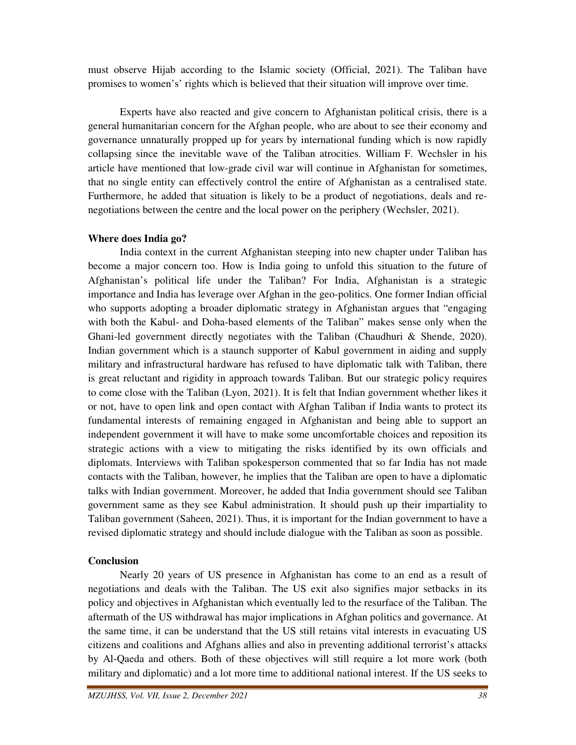must observe Hijab according to the Islamic society (Official, 2021). The Taliban have promises to women's' rights which is believed that their situation will improve over time.

 Experts have also reacted and give concern to Afghanistan political crisis, there is a general humanitarian concern for the Afghan people, who are about to see their economy and governance unnaturally propped up for years by international funding which is now rapidly collapsing since the inevitable wave of the Taliban atrocities. William F. Wechsler in his article have mentioned that low-grade civil war will continue in Afghanistan for sometimes, that no single entity can effectively control the entire of Afghanistan as a centralised state. Furthermore, he added that situation is likely to be a product of negotiations, deals and renegotiations between the centre and the local power on the periphery (Wechsler, 2021).

## **Where does India go?**

 India context in the current Afghanistan steeping into new chapter under Taliban has become a major concern too. How is India going to unfold this situation to the future of Afghanistan's political life under the Taliban? For India, Afghanistan is a strategic importance and India has leverage over Afghan in the geo-politics. One former Indian official who supports adopting a broader diplomatic strategy in Afghanistan argues that "engaging with both the Kabul- and Doha-based elements of the Taliban" makes sense only when the Ghani-led government directly negotiates with the Taliban (Chaudhuri & Shende, 2020). Indian government which is a staunch supporter of Kabul government in aiding and supply military and infrastructural hardware has refused to have diplomatic talk with Taliban, there is great reluctant and rigidity in approach towards Taliban. But our strategic policy requires to come close with the Taliban (Lyon, 2021). It is felt that Indian government whether likes it or not, have to open link and open contact with Afghan Taliban if India wants to protect its fundamental interests of remaining engaged in Afghanistan and being able to support an independent government it will have to make some uncomfortable choices and reposition its strategic actions with a view to mitigating the risks identified by its own officials and diplomats. Interviews with Taliban spokesperson commented that so far India has not made contacts with the Taliban, however, he implies that the Taliban are open to have a diplomatic talks with Indian government. Moreover, he added that India government should see Taliban government same as they see Kabul administration. It should push up their impartiality to Taliban government (Saheen, 2021). Thus, it is important for the Indian government to have a revised diplomatic strategy and should include dialogue with the Taliban as soon as possible.

## **Conclusion**

 Nearly 20 years of US presence in Afghanistan has come to an end as a result of negotiations and deals with the Taliban. The US exit also signifies major setbacks in its policy and objectives in Afghanistan which eventually led to the resurface of the Taliban. The aftermath of the US withdrawal has major implications in Afghan politics and governance. At the same time, it can be understand that the US still retains vital interests in evacuating US citizens and coalitions and Afghans allies and also in preventing additional terrorist's attacks by Al-Qaeda and others. Both of these objectives will still require a lot more work (both military and diplomatic) and a lot more time to additional national interest. If the US seeks to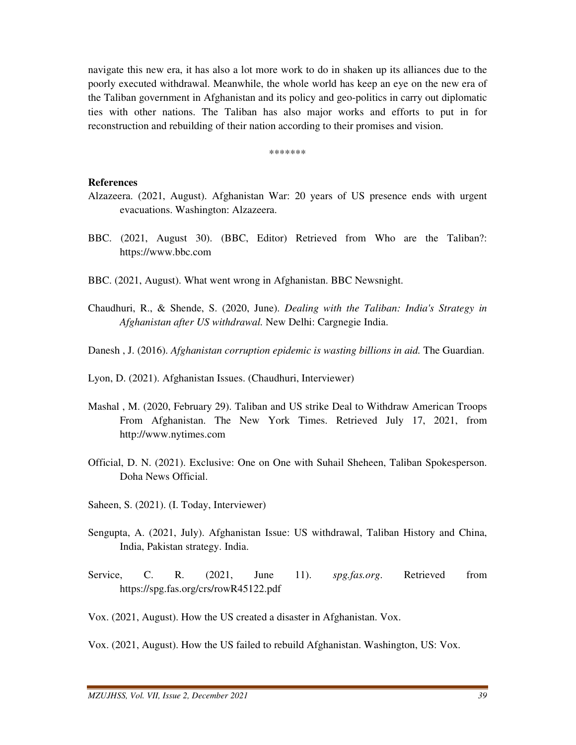navigate this new era, it has also a lot more work to do in shaken up its alliances due to the poorly executed withdrawal. Meanwhile, the whole world has keep an eye on the new era of the Taliban government in Afghanistan and its policy and geo-politics in carry out diplomatic ties with other nations. The Taliban has also major works and efforts to put in for reconstruction and rebuilding of their nation according to their promises and vision.

\*\*\*\*\*\*\*

#### **References**

- Alzazeera. (2021, August). Afghanistan War: 20 years of US presence ends with urgent evacuations. Washington: Alzazeera.
- BBC. (2021, August 30). (BBC, Editor) Retrieved from Who are the Taliban?: https://www.bbc.com
- BBC. (2021, August). What went wrong in Afghanistan. BBC Newsnight.
- Chaudhuri, R., & Shende, S. (2020, June). *Dealing with the Taliban: India's Strategy in Afghanistan after US withdrawal.* New Delhi: Cargnegie India.
- Danesh , J. (2016). *Afghanistan corruption epidemic is wasting billions in aid.* The Guardian.

Lyon, D. (2021). Afghanistan Issues. (Chaudhuri, Interviewer)

- Mashal , M. (2020, February 29). Taliban and US strike Deal to Withdraw American Troops From Afghanistan. The New York Times. Retrieved July 17, 2021, from http://www.nytimes.com
- Official, D. N. (2021). Exclusive: One on One with Suhail Sheheen, Taliban Spokesperson. Doha News Official.
- Saheen, S. (2021). (I. Today, Interviewer)
- Sengupta, A. (2021, July). Afghanistan Issue: US withdrawal, Taliban History and China, India, Pakistan strategy. India.
- Service, C. R. (2021, June 11). *spg.fas.org*. Retrieved from https://spg.fas.org/crs/rowR45122.pdf
- Vox. (2021, August). How the US created a disaster in Afghanistan. Vox.

Vox. (2021, August). How the US failed to rebuild Afghanistan. Washington, US: Vox.